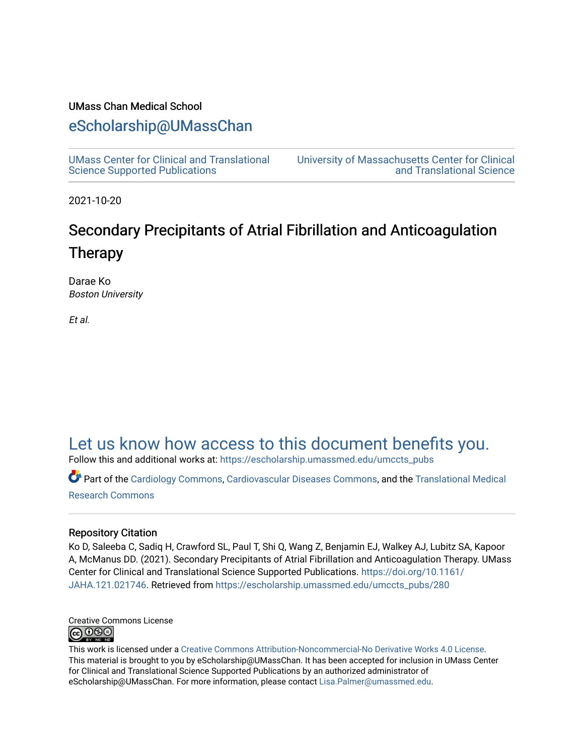#### UMass Chan Medical School

## [eScholarship@UMassChan](https://escholarship.umassmed.edu/)

[UMass Center for Clinical and Translational](https://escholarship.umassmed.edu/umccts_pubs)  [Science Supported Publications](https://escholarship.umassmed.edu/umccts_pubs)

[University of Massachusetts Center for Clinical](https://escholarship.umassmed.edu/umccts)  [and Translational Science](https://escholarship.umassmed.edu/umccts) 

2021-10-20

# Secondary Precipitants of Atrial Fibrillation and Anticoagulation Therapy

Darae Ko Boston University

Et al.

# [Let us know how access to this document benefits you.](https://arcsapps.umassmed.edu/redcap/surveys/?s=XWRHNF9EJE)

Follow this and additional works at: [https://escholarship.umassmed.edu/umccts\\_pubs](https://escholarship.umassmed.edu/umccts_pubs?utm_source=escholarship.umassmed.edu%2Fumccts_pubs%2F280&utm_medium=PDF&utm_campaign=PDFCoverPages)

Part of the [Cardiology Commons](https://network.bepress.com/hgg/discipline/683?utm_source=escholarship.umassmed.edu%2Fumccts_pubs%2F280&utm_medium=PDF&utm_campaign=PDFCoverPages), [Cardiovascular Diseases Commons,](https://network.bepress.com/hgg/discipline/929?utm_source=escholarship.umassmed.edu%2Fumccts_pubs%2F280&utm_medium=PDF&utm_campaign=PDFCoverPages) and the [Translational Medical](https://network.bepress.com/hgg/discipline/1124?utm_source=escholarship.umassmed.edu%2Fumccts_pubs%2F280&utm_medium=PDF&utm_campaign=PDFCoverPages)  [Research Commons](https://network.bepress.com/hgg/discipline/1124?utm_source=escholarship.umassmed.edu%2Fumccts_pubs%2F280&utm_medium=PDF&utm_campaign=PDFCoverPages) 

#### Repository Citation

Ko D, Saleeba C, Sadiq H, Crawford SL, Paul T, Shi Q, Wang Z, Benjamin EJ, Walkey AJ, Lubitz SA, Kapoor A, McManus DD. (2021). Secondary Precipitants of Atrial Fibrillation and Anticoagulation Therapy. UMass Center for Clinical and Translational Science Supported Publications. [https://doi.org/10.1161/](https://doi.org/10.1161/JAHA.121.021746) [JAHA.121.021746](https://doi.org/10.1161/JAHA.121.021746). Retrieved from [https://escholarship.umassmed.edu/umccts\\_pubs/280](https://escholarship.umassmed.edu/umccts_pubs/280?utm_source=escholarship.umassmed.edu%2Fumccts_pubs%2F280&utm_medium=PDF&utm_campaign=PDFCoverPages) 



This work is licensed under a [Creative Commons Attribution-Noncommercial-No Derivative Works 4.0 License.](http://creativecommons.org/licenses/by-nc-nd/4.0/) This material is brought to you by eScholarship@UMassChan. It has been accepted for inclusion in UMass Center for Clinical and Translational Science Supported Publications by an authorized administrator of eScholarship@UMassChan. For more information, please contact [Lisa.Palmer@umassmed.edu](mailto:Lisa.Palmer@umassmed.edu).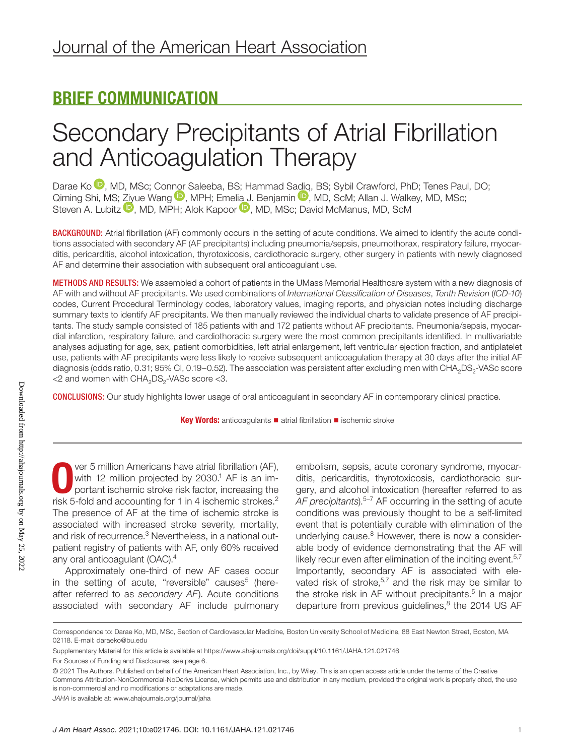# BRIEF COMMUNICATION

# Secondary Precipitants of Atrial Fibrillation and Anticoagulation Therapy

Darae Ko <sup>(D</sup>[,](https://orcid.org/0000-0002-1174-7535) MD, MSc; Con[nor](https://orcid.org/0000-0003-2662-3946) Saleeba, BS; Hammad S[adiq,](https://orcid.org/0000-0003-4076-2336) BS; Sybil Crawford, PhD; Tenes Paul, DO; Qiming Shi, MS; [Ziyu](https://orcid.org/0000-0002-9599-4866)e Wang <sup>1</sup>, MPH; Emel[ia J.](https://orcid.org/0000-0003-1300-7124) Benjamin <sup>1</sup>, MD, ScM; Allan J. Walkey, MD, MSc; Steven A. Lubitz  $\mathbb D$ , MD, MPH; Alok Kapoor  $\mathbb D$ , MD, MSc; David McManus, MD, ScM

BACKGROUND: Atrial fibrillation (AF) commonly occurs in the setting of acute conditions. We aimed to identify the acute conditions associated with secondary AF (AF precipitants) including pneumonia/sepsis, pneumothorax, respiratory failure, myocarditis, pericarditis, alcohol intoxication, thyrotoxicosis, cardiothoracic surgery, other surgery in patients with newly diagnosed AF and determine their association with subsequent oral anticoagulant use.

METHODS AND RESULTS: We assembled a cohort of patients in the UMass Memorial Healthcare system with a new diagnosis of AF with and without AF precipitants. We used combinations of *International Classification of Diseases*, *Tenth Revision* (*ICD-10*) codes, Current Procedural Terminology codes, laboratory values, imaging reports, and physician notes including discharge summary texts to identify AF precipitants. We then manually reviewed the individual charts to validate presence of AF precipitants. The study sample consisted of 185 patients with and 172 patients without AF precipitants. Pneumonia/sepsis, myocardial infarction, respiratory failure, and cardiothoracic surgery were the most common precipitants identified. In multivariable analyses adjusting for age, sex, patient comorbidities, left atrial enlargement, left ventricular ejection fraction, and antiplatelet use, patients with AF precipitants were less likely to receive subsequent anticoagulation therapy at 30 days after the initial AF diagnosis (odds ratio, 0.31; 95% CI, 0.19-0.52). The association was persistent after excluding men with CHA<sub>2</sub>DS<sub>2</sub>-VASc score  $<$ 2 and women with CHA<sub>2</sub>DS<sub>2</sub>-VASc score  $<$ 3.

CONCLUSIONS: Our study highlights lower usage of oral anticoagulant in secondary AF in contemporary clinical practice.

Key Words: anticoagulants ■ atrial fibrillation ■ ischemic stroke

ver 5 million Americans have atrial fibrillation (AF), with 12 million projected by 2030.<sup>1</sup> AF is an important ischemic stroke risk factor, increasing the risk 5-fold and accounting for 1 in 4 ischemic strokes.<sup>2</sup> The presence of AF at the time of ischemic stroke is associated with increased stroke severity, mortality, and risk of recurrence.<sup>3</sup> Nevertheless, in a national outpatient registry of patients with AF, only 60% received any oral anticoagulant (OAC).4

Approximately one-third of new AF cases occur in the setting of acute, "reversible" causes $5$  (hereafter referred to as *secondary AF*). Acute conditions associated with secondary AF include pulmonary

embolism, sepsis, acute coronary syndrome, myocarditis, pericarditis, thyrotoxicosis, cardiothoracic surgery, and alcohol intoxication (hereafter referred to as *AF precipitants*).5–7 AF occurring in the setting of acute conditions was previously thought to be a self-limited event that is potentially curable with elimination of the underlying cause. $8$  However, there is now a considerable body of evidence demonstrating that the AF will likely recur even after elimination of the inciting event.<sup>5,7</sup> Importantly, secondary AF is associated with elevated risk of stroke, $5,7$  and the risk may be similar to the stroke risk in AF without precipitants.<sup>5</sup> In a major departure from previous guidelines, $8$  the 2014 US AF

Correspondence to: Darae Ko, MD, MSc, Section of Cardiovascular Medicine, Boston University School of Medicine, 88 East Newton Street, Boston, MA 02118. E-mail: [daraeko@bu.edu](mailto:daraeko@bu.edu)

Supplementary Material for this article is available at <https://www.ahajournals.org/doi/suppl/10.1161/JAHA.121.021746>

For Sources of Funding and Disclosures, see page 6.

<sup>© 2021</sup> The Authors. Published on behalf of the American Heart Association, Inc., by Wiley. This is an open access article under the terms of the [Creative](http://creativecommons.org/licenses/by-nc-nd/4.0/)  [Commons Attribution-NonCommercial-NoDerivs](http://creativecommons.org/licenses/by-nc-nd/4.0/) License, which permits use and distribution in any medium, provided the original work is properly cited, the use is non-commercial and no modifications or adaptations are made.

*JAHA* is available at: [www.ahajournals.org/journal/jaha](https://www.ahajournals.org/journal/jaha)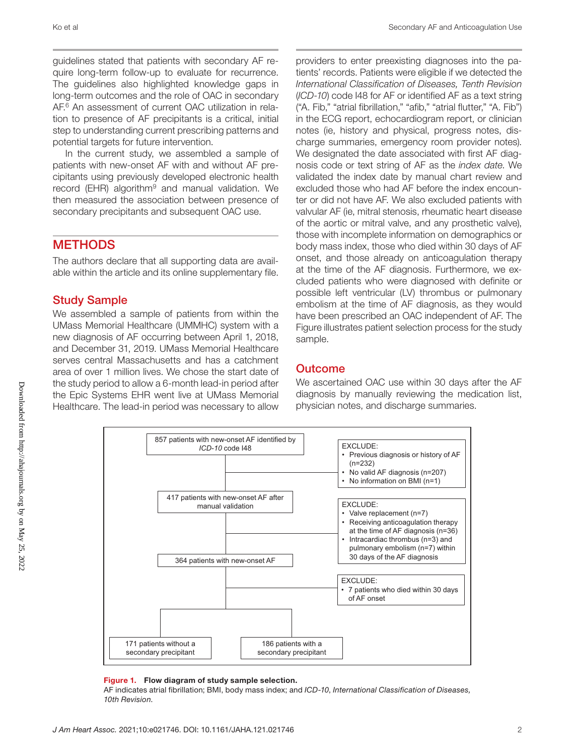guidelines stated that patients with secondary AF require long-term follow-up to evaluate for recurrence. The guidelines also highlighted knowledge gaps in long-term outcomes and the role of OAC in secondary AF.6 An assessment of current OAC utilization in relation to presence of AF precipitants is a critical, initial step to understanding current prescribing patterns and potential targets for future intervention.

In the current study, we assembled a sample of patients with new-onset AF with and without AF precipitants using previously developed electronic health record (EHR) algorithm<sup>9</sup> and manual validation. We then measured the association between presence of secondary precipitants and subsequent OAC use.

### **METHODS**

The authors declare that all supporting data are available within the article and its online supplementary file.

#### Study Sample

We assembled a sample of patients from within the UMass Memorial Healthcare (UMMHC) system with a new diagnosis of AF occurring between April 1, 2018, and December 31, 2019. UMass Memorial Healthcare serves central Massachusetts and has a catchment area of over 1 million lives. We chose the start date of the study period to allow a 6-month lead-in period after the Epic Systems EHR went live at UMass Memorial Healthcare. The lead-in period was necessary to allow

providers to enter preexisting diagnoses into the patients' records. Patients were eligible if we detected the *International Classification of Diseases, Tenth Revision* (*ICD-10*) code I48 for AF or identified AF as a text string ("A. Fib," "atrial fibrillation," "afib," "atrial flutter," "A. Fib") in the ECG report, echocardiogram report, or clinician notes (ie, history and physical, progress notes, discharge summaries, emergency room provider notes). We designated the date associated with first AF diagnosis code or text string of AF as the *index date*. We validated the index date by manual chart review and excluded those who had AF before the index encounter or did not have AF. We also excluded patients with valvular AF (ie, mitral stenosis, rheumatic heart disease of the aortic or mitral valve, and any prosthetic valve), those with incomplete information on demographics or body mass index, those who died within 30 days of AF onset, and those already on anticoagulation therapy at the time of the AF diagnosis. Furthermore, we excluded patients who were diagnosed with definite or possible left ventricular (LV) thrombus or pulmonary embolism at the time of AF diagnosis, as they would have been prescribed an OAC independent of AF. The Figure illustrates patient selection process for the study sample.

#### **Outcome**

We ascertained OAC use within 30 days after the AF diagnosis by manually reviewing the medication list, physician notes, and discharge summaries.



#### Figure 1. Flow diagram of study sample selection.

AF indicates atrial fibrillation; BMI, body mass index; and *ICD-10*, *International Classification of Diseases, 10th Revision*.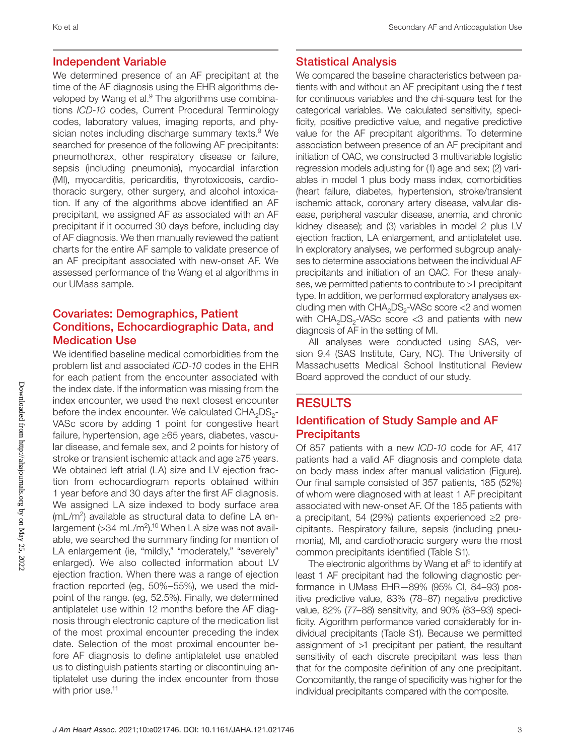#### Independent Variable

We determined presence of an AF precipitant at the time of the AF diagnosis using the EHR algorithms developed by Wang et al.<sup>9</sup> The algorithms use combinations *ICD-10* codes, Current Procedural Terminology codes, laboratory values, imaging reports, and physician notes including discharge summary texts.<sup>9</sup> We searched for presence of the following AF precipitants: pneumothorax, other respiratory disease or failure, sepsis (including pneumonia), myocardial infarction (MI), myocarditis, pericarditis, thyrotoxicosis, cardiothoracic surgery, other surgery, and alcohol intoxication. If any of the algorithms above identified an AF precipitant, we assigned AF as associated with an AF precipitant if it occurred 30 days before, including day of AF diagnosis. We then manually reviewed the patient charts for the entire AF sample to validate presence of an AF precipitant associated with new-onset AF. We assessed performance of the Wang et al algorithms in our UMass sample.

## Covariates: Demographics, Patient Conditions, Echocardiographic Data, and Medication Use

We identified baseline medical comorbidities from the problem list and associated *ICD-10* codes in the EHR for each patient from the encounter associated with the index date. If the information was missing from the index encounter, we used the next closest encounter before the index encounter. We calculated  $CHA<sub>2</sub>DS<sub>2</sub>$ -VASc score by adding 1 point for congestive heart failure, hypertension, age ≥65 years, diabetes, vascular disease, and female sex, and 2 points for history of stroke or transient ischemic attack and age ≥75 years. We obtained left atrial (LA) size and LV ejection fraction from echocardiogram reports obtained within 1 year before and 30 days after the first AF diagnosis. We assigned LA size indexed to body surface area (mL/m2) available as structural data to define LA enlargement (>34 mL/m<sup>2</sup>).<sup>10</sup> When LA size was not available, we searched the summary finding for mention of LA enlargement (ie, "mildly," "moderately," "severely" enlarged). We also collected information about LV ejection fraction. When there was a range of ejection fraction reported (eg, 50%–55%), we used the midpoint of the range. (eg, 52.5%). Finally, we determined antiplatelet use within 12 months before the AF diagnosis through electronic capture of the medication list of the most proximal encounter preceding the index date. Selection of the most proximal encounter before AF diagnosis to define antiplatelet use enabled us to distinguish patients starting or discontinuing antiplatelet use during the index encounter from those with prior use.<sup>11</sup>

## Statistical Analysis

We compared the baseline characteristics between patients with and without an AF precipitant using the *t* test for continuous variables and the chi-square test for the categorical variables. We calculated sensitivity, specificity, positive predictive value, and negative predictive value for the AF precipitant algorithms. To determine association between presence of an AF precipitant and initiation of OAC, we constructed 3 multivariable logistic regression models adjusting for (1) age and sex; (2) variables in model 1 plus body mass index, comorbidities (heart failure, diabetes, hypertension, stroke/transient ischemic attack, coronary artery disease, valvular disease, peripheral vascular disease, anemia, and chronic kidney disease); and (3) variables in model 2 plus LV ejection fraction, LA enlargement, and antiplatelet use. In exploratory analyses, we performed subgroup analyses to determine associations between the individual AF precipitants and initiation of an OAC. For these analyses, we permitted patients to contribute to >1 precipitant type. In addition, we performed exploratory analyses excluding men with  $CHA<sub>2</sub>DS<sub>2</sub>$ -VASc score <2 and women with  $CHA<sub>2</sub>DS<sub>2</sub>-VASC score < 3$  and patients with new diagnosis of AF in the setting of MI.

All analyses were conducted using SAS, version 9.4 (SAS Institute, Cary, NC). The University of Massachusetts Medical School Institutional Review Board approved the conduct of our study.

## RESULTS

### Identification of Study Sample and AF **Precipitants**

Of 857 patients with a new *ICD-10* code for AF, 417 patients had a valid AF diagnosis and complete data on body mass index after manual validation (Figure). Our final sample consisted of 357 patients, 185 (52%) of whom were diagnosed with at least 1 AF precipitant associated with new-onset AF. Of the 185 patients with a precipitant, 54 (29%) patients experienced ≥2 precipitants. Respiratory failure, sepsis (including pneumonia), MI, and cardiothoracic surgery were the most common precipitants identified (Table S1).

The electronic algorithms by Wang et  $a^{19}$  to identify at least 1 AF precipitant had the following diagnostic performance in UMass EHR—89% (95% CI, 84–93) positive predictive value, 83% (78–87) negative predictive value, 82% (77–88) sensitivity, and 90% (83–93) specificity. Algorithm performance varied considerably for individual precipitants (Table S1). Because we permitted assignment of >1 precipitant per patient, the resultant sensitivity of each discrete precipitant was less than that for the composite definition of any one precipitant. Concomitantly, the range of specificity was higher for the individual precipitants compared with the composite.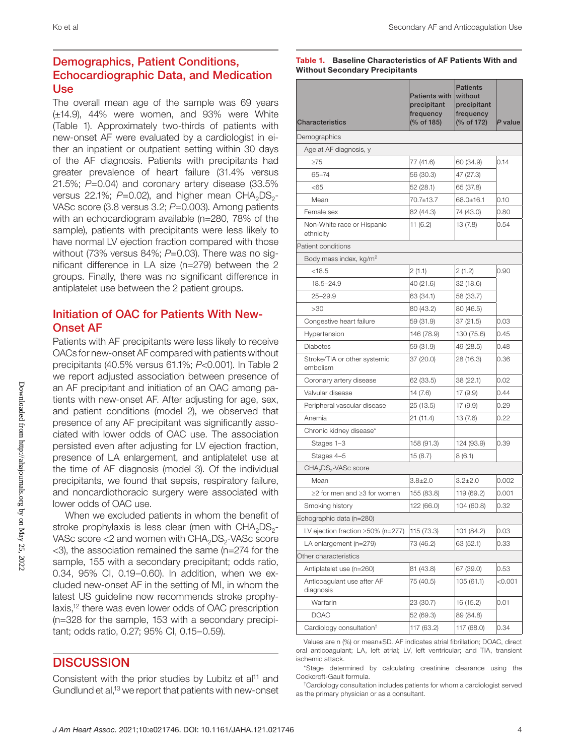## Demographics, Patient Conditions, Echocardiographic Data, and Medication Use

The overall mean age of the sample was 69 years (±14.9), 44% were women, and 93% were White (Table 1). Approximately two-thirds of patients with new-onset AF were evaluated by a cardiologist in either an inpatient or outpatient setting within 30 days of the AF diagnosis. Patients with precipitants had greater prevalence of heart failure (31.4% versus 21.5%; *P*=0.04) and coronary artery disease (33.5% versus 22.1%;  $P=0.02$ ), and higher mean CHA<sub>2</sub>DS<sub>2</sub>-VASc score (3.8 versus 3.2; *P*=0.003). Among patients with an echocardiogram available (n=280, 78% of the sample), patients with precipitants were less likely to have normal LV ejection fraction compared with those without (73% versus 84%; P=0.03). There was no significant difference in LA size (n=279) between the 2 groups. Finally, there was no significant difference in antiplatelet use between the 2 patient groups.

## Initiation of OAC for Patients With New-Onset AF

Patients with AF precipitants were less likely to receive OACs for new-onset AF compared with patients without precipitants (40.5% versus 61.1%; *P*<0.001). In Table 2 we report adjusted association between presence of an AF precipitant and initiation of an OAC among patients with new-onset AF. After adjusting for age, sex, and patient conditions (model 2), we observed that presence of any AF precipitant was significantly associated with lower odds of OAC use. The association persisted even after adjusting for LV ejection fraction, presence of LA enlargement, and antiplatelet use at the time of AF diagnosis (model 3). Of the individual precipitants, we found that sepsis, respiratory failure, and noncardiothoracic surgery were associated with lower odds of OAC use.

When we excluded patients in whom the benefit of stroke prophylaxis is less clear (men with  $CHA<sub>2</sub>DS<sub>2</sub>$ -VASc score  $<$ 2 and women with  $CHA<sub>2</sub>DS<sub>2</sub>$ -VASc score <3), the association remained the same (n=274 for the sample, 155 with a secondary precipitant; odds ratio, 0.34, 95% CI, 0.19–0.60). In addition, when we excluded new-onset AF in the setting of MI, in whom the latest US guideline now recommends stroke prophylaxis,12 there was even lower odds of OAC prescription (n=328 for the sample, 153 with a secondary precipitant; odds ratio, 0.27; 95% CI, 0.15–0.59).

## **DISCUSSION**

Consistent with the prior studies by Lubitz et  $al<sup>11</sup>$  and Gundlund et al,<sup>13</sup> we report that patients with new-onset

Table 1. Baseline Characteristics of AF Patients With and Without Secondary Precipitants

| <b>Characteristics</b>                       | <b>Patients with</b><br>precipitant<br>frequency<br>(% of 185) | <b>Patients</b><br>without<br>precipitant<br>frequency<br>(% of 172) | P value |  |
|----------------------------------------------|----------------------------------------------------------------|----------------------------------------------------------------------|---------|--|
| Demographics                                 |                                                                |                                                                      |         |  |
| Age at AF diagnosis, y                       |                                                                |                                                                      |         |  |
| $\geq 75$                                    | 77 (41.6)                                                      | 60 (34.9)                                                            | 0.14    |  |
| $65 - 74$                                    | 56 (30.3)                                                      | 47 (27.3)                                                            |         |  |
| <65                                          | 52 (28.1)                                                      | 65 (37.8)                                                            |         |  |
| Mean                                         | 70.7±13.7                                                      | 68.0±16.1                                                            | 0.10    |  |
| Female sex                                   | 82 (44.3)                                                      | 74 (43.0)                                                            | 0.80    |  |
| Non-White race or Hispanic<br>ethnicity      | 11 (6.2)                                                       | 13 (7.8)                                                             | 0.54    |  |
| Patient conditions                           |                                                                |                                                                      |         |  |
| Body mass index, kg/m <sup>2</sup>           |                                                                |                                                                      |         |  |
| $<$ 18.5                                     | 2(1.1)                                                         | 2(1.2)                                                               | 0.90    |  |
| $18.5 - 24.9$                                | 40 (21.6)                                                      | 32 (18.6)                                                            |         |  |
| $25 - 29.9$                                  | 63 (34.1)                                                      | 58 (33.7)                                                            |         |  |
| >30                                          | 80 (43.2)                                                      | 80 (46.5)                                                            |         |  |
| Congestive heart failure                     | 59 (31.9)                                                      | 37 (21.5)                                                            | 0.03    |  |
| Hypertension                                 | 146 (78.9)                                                     | 130 (75.6)                                                           | 0.45    |  |
| <b>Diabetes</b>                              | 59 (31.9)                                                      | 49 (28.5)                                                            | 0.48    |  |
| Stroke/TIA or other systemic<br>embolism     | 37 (20.0)                                                      | 28 (16.3)                                                            | 0.36    |  |
| Coronary artery disease                      | 62 (33.5)                                                      | 38 (22.1)                                                            | 0.02    |  |
| Valvular disease                             | 14 (7.6)                                                       | 17 (9.9)                                                             | 0.44    |  |
| Peripheral vascular disease                  | 25 (13.5)                                                      | 17 (9.9)                                                             | 0.29    |  |
| Anemia                                       | 21 (11.4)                                                      | 13 (7.6)                                                             | 0.22    |  |
| Chronic kidney disease*                      |                                                                |                                                                      |         |  |
| Stages 1-3                                   | 158 (91.3)                                                     | 124 (93.9)                                                           | 0.39    |  |
| Stages 4-5                                   | 15(8.7)                                                        | 8(6.1)                                                               |         |  |
| CHA <sub>2</sub> DS <sub>2</sub> -VASc score |                                                                |                                                                      |         |  |
| Mean                                         | $3.8 \pm 2.0$                                                  | $3.2 \pm 2.0$                                                        | 0.002   |  |
| ≥2 for men and ≥3 for women                  | 155 (83.8)                                                     | 119 (69.2)                                                           | 0.001   |  |
| Smoking history                              | 122 (66.0)                                                     | 104 (60.8)                                                           | 0.32    |  |
| Echographic data (n=280)                     |                                                                |                                                                      |         |  |
| LV ejection fraction $\geq 50\%$ (n=277)     | 115 (73.3)                                                     | 101 (84.2)                                                           | 0.03    |  |
| LA enlargement (n=279)                       | 73 (46.2)                                                      | 63 (52.1)                                                            | 0.33    |  |
| Other characteristics                        |                                                                |                                                                      |         |  |
| Antiplatelet use (n=260)                     | 81 (43.8)                                                      | 67 (39.0)                                                            | 0.53    |  |
| Anticoagulant use after AF<br>diagnosis      | 75 (40.5)                                                      | 105 (61.1)                                                           | <0.001  |  |
| Warfarin                                     | 23 (30.7)<br>16 (15.2)                                         |                                                                      | 0.01    |  |
| <b>DOAC</b>                                  | 52 (69.3)                                                      | 89 (84.8)                                                            |         |  |
| Cardiology consultation <sup>†</sup>         | 117 (63.2)                                                     | 117 (68.0)                                                           | 0.34    |  |

Values are n (%) or mean±SD. AF indicates atrial fibrillation; DOAC, direct oral anticoagulant; LA, left atrial; LV, left ventricular; and TIA, transient ischemic attack.

\*Stage determined by calculating creatinine clearance using the Cockcroft-Gault formula.

†Cardiology consultation includes patients for whom a cardiologist served as the primary physician or as a consultant.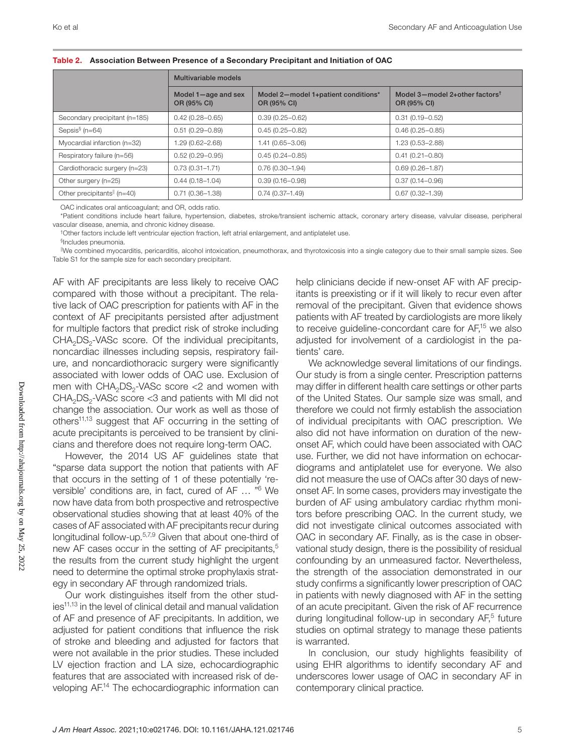|                                        | Multivariable models               |                                                    |                                                           |  |
|----------------------------------------|------------------------------------|----------------------------------------------------|-----------------------------------------------------------|--|
|                                        | Model 1-age and sex<br>OR (95% CI) | Model 2-model 1+patient conditions*<br>OR (95% CI) | Model 3-model 2+other factors <sup>†</sup><br>OR (95% CI) |  |
| Secondary precipitant (n=185)          | $0.42(0.28 - 0.65)$                | $0.39(0.25 - 0.62)$                                | $0.31(0.19 - 0.52)$                                       |  |
| Sepsis $%$ (n=64)                      | $0.51(0.29 - 0.89)$                | $0.45(0.25 - 0.82)$                                | $0.46(0.25 - 0.85)$                                       |  |
| Myocardial infarction (n=32)           | 1.29 (0.62-2.68)                   | $1.41(0.65 - 3.06)$                                | 1.23 (0.53-2.88)                                          |  |
| Respiratory failure (n=56)             | $0.52(0.29 - 0.95)$                | $0.45(0.24 - 0.85)$                                | $0.41(0.21 - 0.80)$                                       |  |
| Cardiothoracic surgery (n=23)          | $0.73(0.31 - 1.71)$                | $0.76(0.30 - 1.94)$                                | $0.69(0.26 - 1.87)$                                       |  |
| Other surgery (n=25)                   | $0.44(0.18 - 1.04)$                | $0.39(0.16 - 0.98)$                                | $0.37(0.14 - 0.96)$                                       |  |
| Other precipitants <sup> </sup> (n=40) | $0.71(0.36 - 1.38)$                | $0.74(0.37 - 1.49)$                                | $0.67(0.32 - 1.39)$                                       |  |

Table 2. Association Between Presence of a Secondary Precipitant and Initiation of OAC

OAC indicates oral anticoagulant; and OR, odds ratio.

\*Patient conditions include heart failure, hypertension, diabetes, stroke/transient ischemic attack, coronary artery disease, valvular disease, peripheral vascular disease, anemia, and chronic kidney disease.

†Other factors include left ventricular ejection fraction, left atrial enlargement, and antiplatelet use.

§Includes pneumonia.

‖ We combined myocarditis, pericarditis, alcohol intoxication, pneumothorax, and thyrotoxicosis into a single category due to their small sample sizes. See Table S1 for the sample size for each secondary precipitant.

AF with AF precipitants are less likely to receive OAC compared with those without a precipitant. The relative lack of OAC prescription for patients with AF in the context of AF precipitants persisted after adjustment for multiple factors that predict risk of stroke including CHA<sub>2</sub>DS<sub>2</sub>-VASc score. Of the individual precipitants, noncardiac illnesses including sepsis, respiratory failure, and noncardiothoracic surgery were significantly associated with lower odds of OAC use. Exclusion of men with  $CHA<sub>2</sub>DS<sub>2</sub>-VASC score < 2$  and women with CHA<sub>2</sub>DS<sub>2</sub>-VASc score <3 and patients with MI did not change the association. Our work as well as those of others<sup>11,13</sup> suggest that AF occurring in the setting of acute precipitants is perceived to be transient by clinicians and therefore does not require long-term OAC.

However, the 2014 US AF guidelines state that "sparse data support the notion that patients with AF that occurs in the setting of 1 of these potentially 'reversible' conditions are, in fact, cured of AF … "6 We now have data from both prospective and retrospective observational studies showing that at least 40% of the cases of AF associated with AF precipitants recur during longitudinal follow-up.<sup>5,7,9</sup> Given that about one-third of new AF cases occur in the setting of AF precipitants,<sup>5</sup> the results from the current study highlight the urgent need to determine the optimal stroke prophylaxis strategy in secondary AF through randomized trials.

Our work distinguishes itself from the other studies<sup>11,13</sup> in the level of clinical detail and manual validation of AF and presence of AF precipitants. In addition, we adjusted for patient conditions that influence the risk of stroke and bleeding and adjusted for factors that were not available in the prior studies. These included LV ejection fraction and LA size, echocardiographic features that are associated with increased risk of developing AF.14 The echocardiographic information can help clinicians decide if new-onset AF with AF precipitants is preexisting or if it will likely to recur even after removal of the precipitant. Given that evidence shows patients with AF treated by cardiologists are more likely to receive guideline-concordant care for  $AF<sub>15</sub>$  we also adjusted for involvement of a cardiologist in the patients' care.

We acknowledge several limitations of our findings. Our study is from a single center. Prescription patterns may differ in different health care settings or other parts of the United States. Our sample size was small, and therefore we could not firmly establish the association of individual precipitants with OAC prescription. We also did not have information on duration of the newonset AF, which could have been associated with OAC use. Further, we did not have information on echocardiograms and antiplatelet use for everyone. We also did not measure the use of OACs after 30 days of newonset AF. In some cases, providers may investigate the burden of AF using ambulatory cardiac rhythm monitors before prescribing OAC. In the current study, we did not investigate clinical outcomes associated with OAC in secondary AF. Finally, as is the case in observational study design, there is the possibility of residual confounding by an unmeasured factor. Nevertheless, the strength of the association demonstrated in our study confirms a significantly lower prescription of OAC in patients with newly diagnosed with AF in the setting of an acute precipitant. Given the risk of AF recurrence during longitudinal follow-up in secondary AF,<sup>5</sup> future studies on optimal strategy to manage these patients is warranted.

In conclusion, our study highlights feasibility of using EHR algorithms to identify secondary AF and underscores lower usage of OAC in secondary AF in contemporary clinical practice.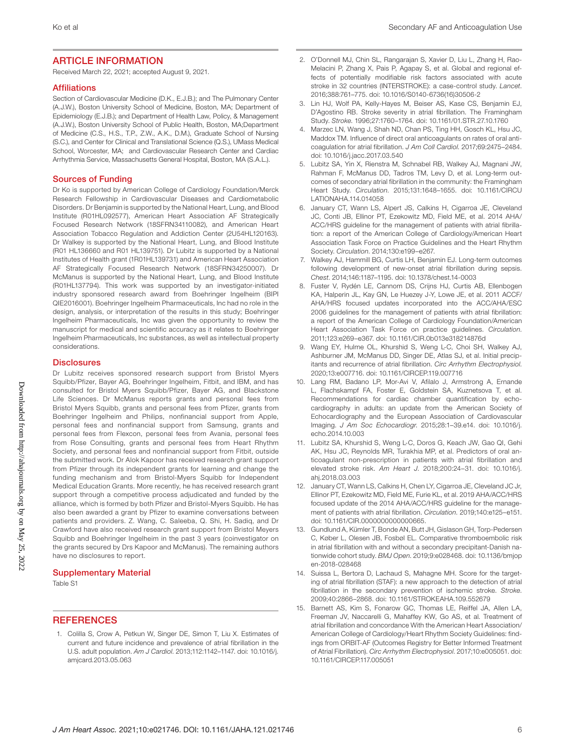#### ARTICLE INFORMATION

Received March 22, 2021; accepted August 9, 2021.

#### **Affiliations**

Section of Cardiovascular Medicine (D.K., E.J.B.); and The Pulmonary Center (A.J.W.), Boston University School of Medicine, Boston, MA; Department of Epidemiology (E.J.B.); and Department of Health Law, Policy, & Management (A.J.W.), Boston University School of Public Health, Boston, MA;Department of Medicine (C.S., H.S., T.P., Z.W., A.K., D.M.), Graduate School of Nursing (S.C.), and Center for Clinical and Translational Science (Q.S.), UMass Medical School, Worcester, MA; and Cardiovascular Research Center and Cardiac Arrhythmia Service, Massachusetts General Hospital, Boston, MA (S.A.L.).

#### Sources of Funding

Dr Ko is supported by American College of Cardiology Foundation/Merck Research Fellowship in Cardiovascular Diseases and Cardiometabolic Disorders. Dr Benjamin is supported by the National Heart, Lung, and Blood Institute (R01HL092577), American Heart Association AF Strategically Focused Research Network (18SFRN34110082), and American Heart Association Tobacco Regulation and Addiction Center (2U54HL120163). Dr Walkey is supported by the National Heart, Lung, and Blood Institute (R01 HL136660 and R01 HL139751). Dr Lubitz is supported by a National Institutes of Health grant (1R01HL139731) and American Heart Association AF Strategically Focused Research Network (18SFRN34250007). Dr McManus is supported by the National Heart, Lung, and Blood Institute (R01HL137794). This work was supported by an investigator-initiated industry sponsored research award from Boehringer Ingelheim (BIPI QIE2016001). Boehringer Ingelheim Pharmaceuticals, Inc had no role in the design, analysis, or interpretation of the results in this study; Boehringer Ingelheim Pharmaceuticals, Inc was given the opportunity to review the manuscript for medical and scientific accuracy as it relates to Boehringer Ingelheim Pharmaceuticals, Inc substances, as well as intellectual property considerations.

#### **Disclosures**

Dr Lubitz receives sponsored research support from Bristol Myers Squibb/Pfizer, Bayer AG, Boehringer Ingelheim, Fitbit, and IBM, and has consulted for Bristol Myers Squibb/Pfizer, Bayer AG, and Blackstone Life Sciences. Dr McManus reports grants and personal fees from Bristol Myers Squibb, grants and personal fees from Pfizer, grants from Boehringer Ingelheim and Philips, nonfinancial support from Apple, personal fees and nonfinancial support from Samsung, grants and personal fees from Flexcon, personal fees from Avania, personal fees from Rose Consulting, grants and personal fees from Heart Rhythm Society, and personal fees and nonfinancial support from Fitbit, outside the submitted work. Dr Alok Kapoor has received research grant support from Pfizer through its independent grants for learning and change the funding mechanism and from Bristol-Myers Squibb for Independent Medical Education Grants. More recently, he has received research grant support through a competitive process adjudicated and funded by the alliance, which is formed by both Pfizer and Bristol-Myers Squibb. He has also been awarded a grant by Pfizer to examine conversations between patients and providers. Z. Wang, C. Saleeba, Q. Shi, H. Sadiq, and Dr Crawford have also received research grant support from Bristol Meyers Squibb and Boehringer Ingelheim in the past 3 years (coinvestigator on the grants secured by Drs Kapoor and McManus). The remaining authors have no disclosures to report.

#### Supplementary Material

Table S1

#### **REFERENCES**

1. Colilla S, Crow A, Petkun W, Singer DE, Simon T, Liu X. Estimates of current and future incidence and prevalence of atrial fibrillation in the U.S. adult population. *Am J Cardiol*. 2013;112:1142–1147. doi: [10.1016/j.](https://doi.org/10.1016/j.amjcard.2013.05.063) [amjcard.2013.05.063](https://doi.org/10.1016/j.amjcard.2013.05.063)

- 2. O'Donnell MJ, Chin SL, Rangarajan S, Xavier D, Liu L, Zhang H, Rao-Melacini P, Zhang X, Pais P, Agapay S, et al. Global and regional effects of potentially modifiable risk factors associated with acute stroke in 32 countries (INTERSTROKE): a case-control study. *Lancet*. 2016;388:761–775. doi: [10.1016/S0140-6736\(16\)30506-2](https://doi.org/10.1016/S0140-6736(16)30506-2)
- 3. Lin HJ, Wolf PA, Kelly-Hayes M, Beiser AS, Kase CS, Benjamin EJ, D'Agostino RB. Stroke severity in atrial fibrillation. The Framingham Study. *Stroke*. 1996;27:1760–1764. doi: [10.1161/01.STR.27.10.1760](https://doi.org/10.1161/01.STR.27.10.1760)
- 4. Marzec LN, Wang J, Shah ND, Chan PS, Ting HH, Gosch KL, Hsu JC, Maddox TM. Influence of direct oral anticoagulants on rates of oral anticoagulation for atrial fibrillation. *J Am Coll Cardiol*. 2017;69:2475–2484. doi: [10.1016/j.jacc.2017.03.540](https://doi.org/10.1016/j.jacc.2017.03.540)
- 5. Lubitz SA, Yin X, Rienstra M, Schnabel RB, Walkey AJ, Magnani JW, Rahman F, McManus DD, Tadros TM, Levy D, et al. Long-term outcomes of secondary atrial fibrillation in the community: the Framingham Heart Study. *Circulation*. 2015;131:1648–1655. doi: [10.1161/CIRCU](https://doi.org/10.1161/CIRCULATIONAHA.114.014058) [LATIONAHA.114.014058](https://doi.org/10.1161/CIRCULATIONAHA.114.014058)
- 6. January CT, Wann LS, Alpert JS, Calkins H, Cigarroa JE, Cleveland JC, Conti JB, Ellinor PT, Ezekowitz MD, Field ME, et al. 2014 AHA/ ACC/HRS guideline for the management of patients with atrial fibrillation: a report of the American College of Cardiology/American Heart Association Task Force on Practice Guidelines and the Heart Rhythm Society. *Circulation*. 2014;130:e199–e267.
- 7. Walkey AJ, Hammill BG, Curtis LH, Benjamin EJ. Long-term outcomes following development of new-onset atrial fibrillation during sepsis. *Chest*. 2014;146:1187–1195. doi: [10.1378/chest.14-0003](https://doi.org/10.1378/chest.14-0003)
- 8. Fuster V, Rydén LE, Cannom DS, Crijns HJ, Curtis AB, Ellenbogen KA, Halperin JL, Kay GN, Le Huezey J-Y, Lowe JE, et al. 2011 ACCF/ AHA/HRS focused updates incorporated into the ACC/AHA/ESC 2006 guidelines for the management of patients with atrial fibrillation: a report of the American College of Cardiology Foundation/American Heart Association Task Force on practice guidelines. *Circulation*. 2011;123:e269–e367. doi: [10.1161/CIR.0b013e318214876d](https://doi.org/10.1161/CIR.0b013e318214876d)
- 9. Wang EY, Hulme OL, Khurshid S, Weng L-C, Choi SH, Walkey AJ, Ashburner JM, McManus DD, Singer DE, Atlas SJ, et al. Initial precipitants and recurrence of atrial fibrillation. *Circ Arrhythm Electrophysiol*. 2020;13:e007716. doi: [10.1161/CIRCEP.119.007716](https://doi.org/10.1161/CIRCEP.119.007716)
- 10. Lang RM, Badano LP, Mor-Avi V, Afilalo J, Armstrong A, Ernande L, Flachskampf FA, Foster E, Goldstein SA, Kuznetsova T, et al. Recommendations for cardiac chamber quantification by echocardiography in adults: an update from the American Society of Echocardiography and the European Association of Cardiovascular Imaging. *J Am Soc Echocardiogr*. 2015;28:1–39.e14. doi: [10.1016/j.](https://doi.org/10.1016/j.echo.2014.10.003) [echo.2014.10.003](https://doi.org/10.1016/j.echo.2014.10.003)
- 11. Lubitz SA, Khurshid S, Weng L-C, Doros G, Keach JW, Gao QI, Gehi AK, Hsu JC, Reynolds MR, Turakhia MP, et al. Predictors of oral anticoagulant non-prescription in patients with atrial fibrillation and elevated stroke risk. *Am Heart J*. 2018;200:24–31. doi: [10.1016/j.](https://doi.org/10.1016/j.ahj.2018.03.003) [ahj.2018.03.003](https://doi.org/10.1016/j.ahj.2018.03.003)
- 12. January CT, Wann LS, Calkins H, Chen LY, Cigarroa JE, Cleveland JC Jr, Ellinor PT, Ezekowitz MD, Field ME, Furie KL, et al. 2019 AHA/ACC/HRS focused update of the 2014 AHA/ACC/HRS guideline for the management of patients with atrial fibrillation. *Circulation*. 2019;140:e125–e151. doi: [10.1161/CIR.0000000000000665.](https://doi.org/10.1161/CIR.0000000000000665)
- 13. Gundlund A, Kümler T, Bonde AN, Butt JH, Gislason GH, Torp-Pedersen C, Køber L, Olesen JB, Fosbøl EL. Comparative thromboembolic risk in atrial fibrillation with and without a secondary precipitant-Danish nationwide cohort study. *BMJ Open*. 2019;9:e028468. doi: [10.1136/bmjop](https://doi.org/10.1136/bmjopen-2018-028468) [en-2018-028468](https://doi.org/10.1136/bmjopen-2018-028468)
- 14. Suissa L, Bertora D, Lachaud S, Mahagne MH. Score for the targeting of atrial fibrillation (STAF): a new approach to the detection of atrial fibrillation in the secondary prevention of ischemic stroke. *Stroke*. 2009;40:2866–2868. doi: [10.1161/STROKEAHA.109.552679](https://doi.org/10.1161/STROKEAHA.109.552679)
- 15. Barnett AS, Kim S, Fonarow GC, Thomas LE, Reiffel JA, Allen LA, Freeman JV, Naccarelli G, Mahaffey KW, Go AS, et al. Treatment of atrial fibrillation and concordance With the American Heart Association/ American College of Cardiology/Heart Rhythm Society Guidelines: findings from ORBIT-AF (Outcomes Registry for Better Informed Treatment of Atrial Fibrillation). *Circ Arrhythm Electrophysiol*. 2017;10:e005051. doi: [10.1161/CIRCEP.117.005051](https://doi.org/10.1161/CIRCEP.117.005051)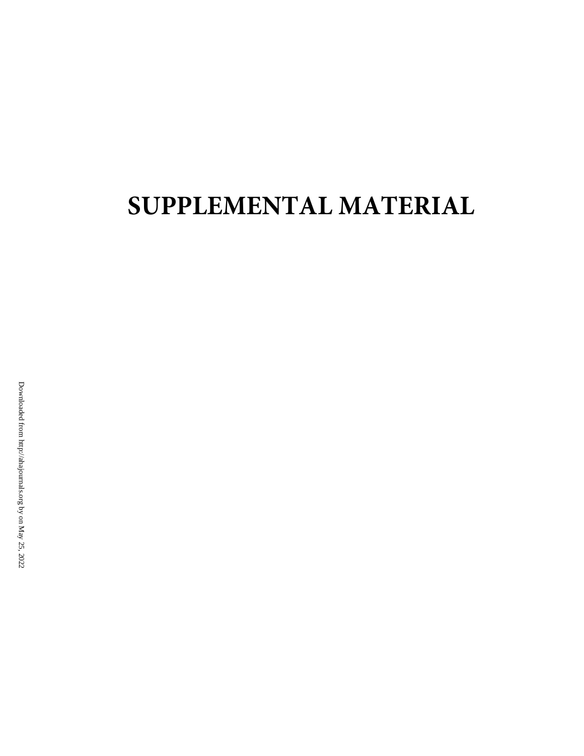# **SUPPLEMENTAL MATERIAL**